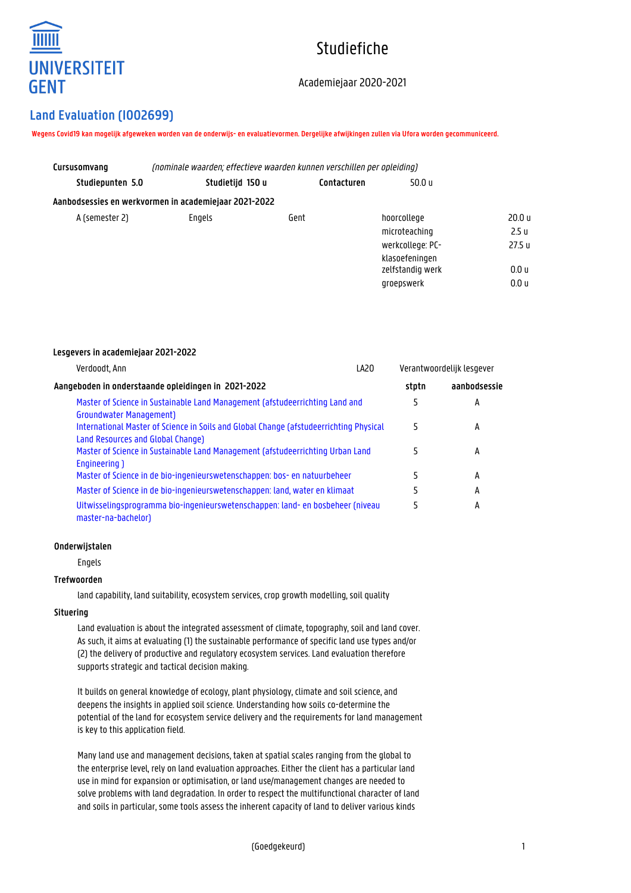

# Studiefiche

# Academiejaar 2020-2021

# **Land Evaluation (I002699)**

**Lesgevers in academiejaar 2021-2022**

**Wegens Covid19 kan mogelijk afgeweken worden van de onderwijs- en evaluatievormen. Dergelijke afwijkingen zullen via Ufora worden gecommuniceerd.**

| Cursusomvang     | (nominale waarden: effectieve waarden kunnen verschillen per opleiding) |             |                  |                   |
|------------------|-------------------------------------------------------------------------|-------------|------------------|-------------------|
| Studiepunten 5.0 | Studietijd 150 u                                                        | Contacturen | 50.0 u           |                   |
|                  | Aanbodsessies en werkvormen in academiejaar 2021-2022                   |             |                  |                   |
| A (semester 2)   | Engels                                                                  | Gent        | hoorcollege      | 20.0 <sub>u</sub> |
|                  |                                                                         |             | microteaching    | 2.5 <sub>u</sub>  |
|                  |                                                                         |             | werkcollege: PC- | 27.5 <sub>u</sub> |
|                  |                                                                         |             | klasoefeningen   |                   |
|                  |                                                                         |             | zelfstandig werk | 0.0 <sub>u</sub>  |
|                  |                                                                         |             | groepswerk       | 0.0 <sub>u</sub>  |

| LA20<br>Verdoodt, Ann                                                                                                       |       | Verantwoordelijk lesgever |  |
|-----------------------------------------------------------------------------------------------------------------------------|-------|---------------------------|--|
| Aangeboden in onderstaande opleidingen in 2021-2022                                                                         | stptn | aanbodsessie              |  |
| Master of Science in Sustainable Land Management (afstudeerrichting Land and<br><b>Groundwater Management</b> )             | 5     | А                         |  |
| International Master of Science in Soils and Global Change (afstudeerrichting Physical<br>Land Resources and Global Change) | 5     | A                         |  |
| Master of Science in Sustainable Land Management (afstudeerrichting Urban Land<br>Engineering 1                             | 5     | A                         |  |
| Master of Science in de bio-ingenieurswetenschappen: bos- en natuurbeheer                                                   | 5     | A                         |  |
| Master of Science in de bio-ingenieurswetenschappen: land, water en klimaat                                                 |       | A                         |  |
| Uitwisselingsprogramma bio-ingenieurswetenschappen: land- en bosbeheer (niveau<br>master-na-bachelor)                       | 5     | А                         |  |

#### **Onderwijstalen**

Engels

# **Trefwoorden**

land capability, land suitability, ecosystem services, crop growth modelling, soil quality

#### **Situering**

Land evaluation is about the integrated assessment of climate, topography, soil and land cover. As such, it aims at evaluating (1) the sustainable performance of specific land use types and/or (2) the delivery of productive and regulatory ecosystem services. Land evaluation therefore supports strategic and tactical decision making.

It builds on general knowledge of ecology, plant physiology, climate and soil science, and deepens the insights in applied soil science. Understanding how soils co-determine the potential of the land for ecosystem service delivery and the requirements for land management is key to this application field.

Many land use and management decisions, taken at spatial scales ranging from the global to the enterprise level, rely on land evaluation approaches. Either the client has a particular land use in mind for expansion or optimisation, or land use/management changes are needed to solve problems with land degradation. In order to respect the multifunctional character of land and soils in particular, some tools assess the inherent capacity of land to deliver various kinds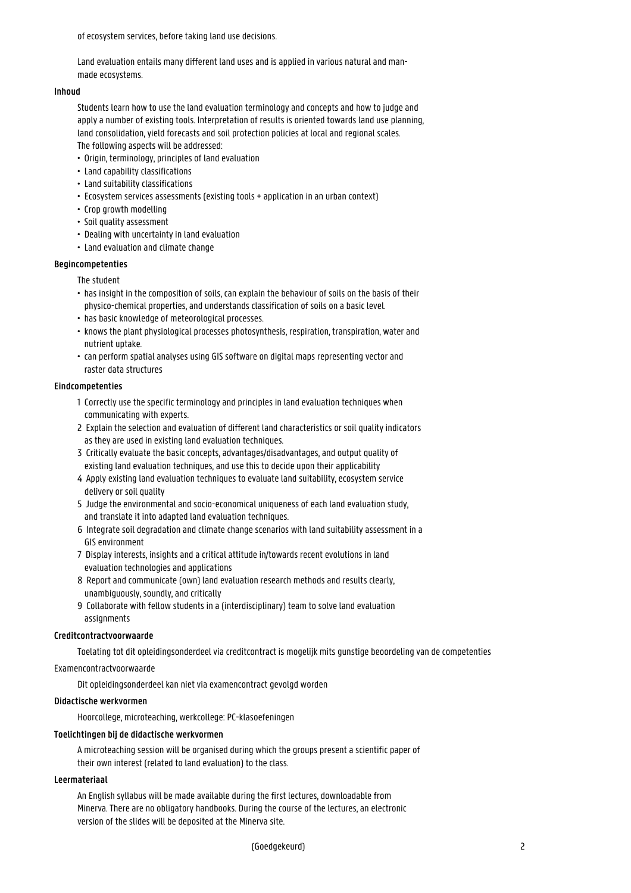of ecosystem services, before taking land use decisions.

Land evaluation entails many different land uses and is applied in various natural and manmade ecosystems.

#### **Inhoud**

Students learn how to use the land evaluation terminology and concepts and how to judge and apply a number of existing tools. Interpretation of results is oriented towards land use planning, land consolidation, yield forecasts and soil protection policies at local and regional scales. The following aspects will be addressed:

- Origin, terminology, principles of land evaluation
- Land capability classifications
- Land suitability classifications
- Ecosystem services assessments (existing tools + application in an urban context)
- Crop growth modelling
- Soil quality assessment
- Dealing with uncertainty in land evaluation
- Land evaluation and climate change

#### **Begincompetenties**

The student

- has insight in the composition of soils, can explain the behaviour of soils on the basis of their • physico-chemical properties, and understands classification of soils on a basic level.
- has basic knowledge of meteorological processes.
- knows the plant physiological processes photosynthesis, respiration, transpiration, water and • nutrient uptake.
- can perform spatial analyses using GIS software on digital maps representing vector and • raster data structures

#### **Eindcompetenties**

- 1 Correctly use the specific terminology and principles in land evaluation techniques when communicating with experts.
- 2 Explain the selection and evaluation of different land characteristics or soil quality indicators as they are used in existing land evaluation techniques.
- 3 Critically evaluate the basic concepts, advantages/disadvantages, and output quality of existing land evaluation techniques, and use this to decide upon their applicability
- 4 Apply existing land evaluation techniques to evaluate land suitability, ecosystem service delivery or soil quality
- 5 Judge the environmental and socio-economical uniqueness of each land evaluation study, and translate it into adapted land evaluation techniques.
- 6 Integrate soil degradation and climate change scenarios with land suitability assessment in a **GIS environment**
- 7 Display interests, insights and a critical attitude in/towards recent evolutions in land evaluation technologies and applications
- 8 Report and communicate (own) land evaluation research methods and results clearly, unambiguously, soundly, and critically
- 9 Collaborate with fellow students in a (interdisciplinary) team to solve land evaluation assignments

## **Creditcontractvoorwaarde**

Toelating tot dit opleidingsonderdeel via creditcontract is mogelijk mits gunstige beoordeling van de competenties

# Examencontractvoorwaarde

Dit opleidingsonderdeel kan niet via examencontract gevolgd worden

# **Didactische werkvormen**

Hoorcollege, microteaching, werkcollege: PC-klasoefeningen

#### **Toelichtingen bij de didactische werkvormen**

A microteaching session will be organised during which the groups present a scientific paper of their own interest (related to land evaluation) to the class.

#### **Leermateriaal**

An English syllabus will be made available during the first lectures, downloadable from Minerva. There are no obligatory handbooks. During the course of the lectures, an electronic version of the slides will be deposited at the Minerva site.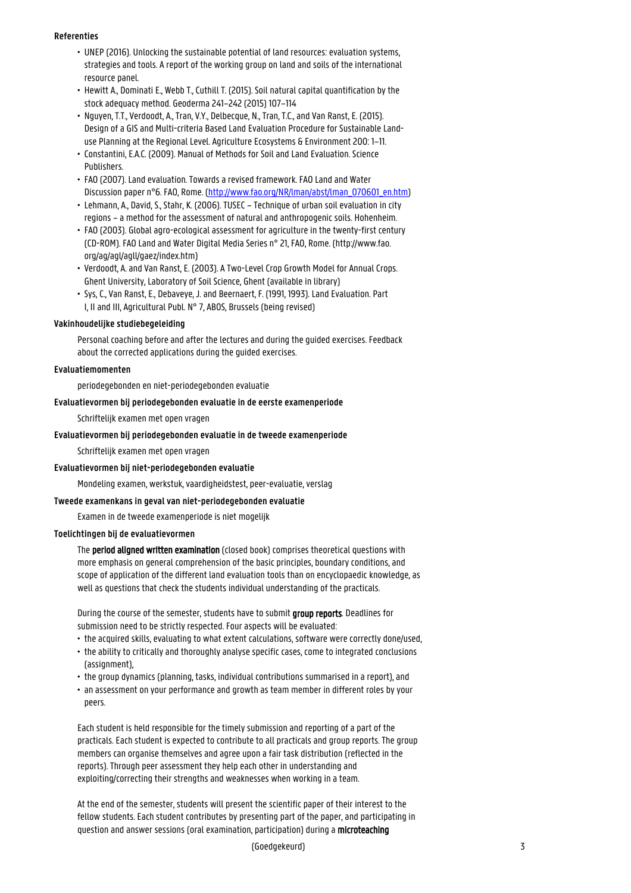#### **Referenties**

- UNEP (2016). Unlocking the sustainable potential of land resources: evaluation systems, strategies and tools. A report of the working group on land and soils of the international resource panel.
- Hewitt A., Dominati E., Webb T., Cuthill T. (2015). Soil natural capital quantification by the • stock adequacy method. Geoderma 241–242 (2015) 107–114
- Nguyen, T.T., Verdoodt, A., Tran, V.Y., Delbecque, N., Tran, T.C., and Van Ranst, E. (2015). • Design of a GIS and Multi-criteria Based Land Evaluation Procedure for Sustainable Land- • use Planning at the Regional Level. Agriculture Ecosystems & Environment 200: 1–11.
- Constantini, E.A.C. (2009). Manual of Methods for Soil and Land Evaluation. Science Publishers.
- FAO (2007). Land evaluation. Towards a revised framework. FAO Land and Water Discussion paper n°6. FAO, Rome. [\(http://www.fao.org/NR/lman/abst/lman\\_070601\\_en.htm\)](http://www.fao.org/NR/lman/abst/lman_070601_en.htm)
- Lehmann, A., David, S., Stahr, K. (2006). TUSEC Technique of urban soil evaluation in city • regions – a method for the assessment of natural and anthropogenic soils. Hohenheim.
- FAO (2003). Global agro-ecological assessment for agriculture in the twenty-first century • (CD-ROM). FAO Land and Water Digital Media Series n° 21, FAO, Rome. (http://www.fao. • org/ag/agl/agll/gaez/index.htm)
- Verdoodt, A. and Van Ranst, E. (2003). A Two-Level Crop Growth Model for Annual Crops. • Ghent University, Laboratory of Soil Science, Ghent (available in library)
- Sys, C., Van Ranst, E., Debaveye, J. and Beernaert, F. (1991, 1993). Land Evaluation. Part I, II and III, Agricultural Publ. N° 7, ABOS, Brussels (being revised)

#### **Vakinhoudelijke studiebegeleiding**

Personal coaching before and after the lectures and during the guided exercises. Feedback about the corrected applications during the guided exercises.

# **Evaluatiemomenten**

periodegebonden en niet-periodegebonden evaluatie

#### **Evaluatievormen bij periodegebonden evaluatie in de eerste examenperiode**

Schriftelijk examen met open vragen

### **Evaluatievormen bij periodegebonden evaluatie in de tweede examenperiode**

Schriftelijk examen met open vragen

#### **Evaluatievormen bij niet-periodegebonden evaluatie**

Mondeling examen, werkstuk, vaardigheidstest, peer-evaluatie, verslag

#### **Tweede examenkans in geval van niet-periodegebonden evaluatie**

Examen in de tweede examenperiode is niet mogelijk

#### **Toelichtingen bij de evaluatievormen**

The period aligned written examination (closed book) comprises theoretical questions with more emphasis on general comprehension of the basic principles, boundary conditions, and scope of application of the different land evaluation tools than on encyclopaedic knowledge, as well as questions that check the students individual understanding of the practicals.

During the course of the semester, students have to submit group reports. Deadlines for submission need to be strictly respected. Four aspects will be evaluated:

- the acquired skills, evaluating to what extent calculations, software were correctly done/used,
- the ability to critically and thoroughly analyse specific cases, come to integrated conclusions (assignment),
- the group dynamics (planning, tasks, individual contributions summarised in a report), and
- an assessment on your performance and growth as team member in different roles by your peers.

Each student is held responsible for the timely submission and reporting of a part of the practicals. Each student is expected to contribute to all practicals and group reports. The group members can organise themselves and agree upon a fair task distribution (reflected in the reports). Through peer assessment they help each other in understanding and exploiting/correcting their strengths and weaknesses when working in a team.

At the end of the semester, students will present the scientific paper of their interest to the fellow students. Each student contributes by presenting part of the paper, and participating in question and answer sessions (oral examination, participation) during a microteaching